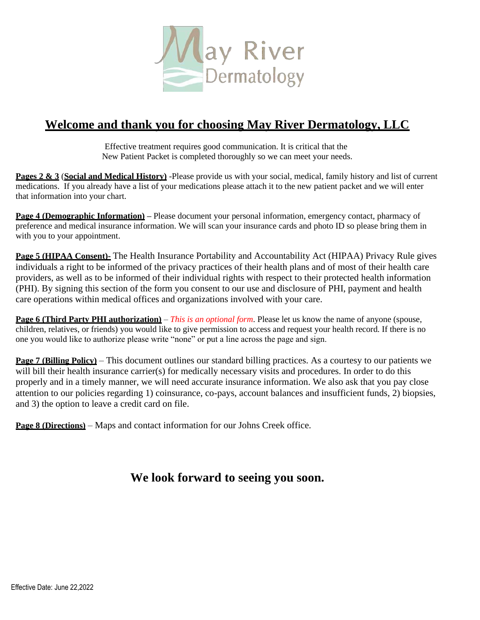

#### **Welcome and thank you for choosing May River Dermatology, LLC**

Effective treatment requires good communication. It is critical that the New Patient Packet is completed thoroughly so we can meet your needs.

**Pages 2 & 3** (**Social and Medical History)** -Please provide us with your social, medical, family history and list of current medications. If you already have a list of your medications please attach it to the new patient packet and we will enter that information into your chart.

**Page 4 (Demographic Information) –** Please document your personal information, emergency contact, pharmacy of preference and medical insurance information. We will scan your insurance cards and photo ID so please bring them in with you to your appointment.

**Page 5 (HIPAA Consent)-** The Health Insurance Portability and Accountability Act (HIPAA) Privacy Rule gives individuals a right to be informed of the privacy practices of their health plans and of most of their health care providers, as well as to be informed of their individual rights with respect to their protected health information (PHI). By signing this section of the form you consent to our use and disclosure of PHI, payment and health care operations within medical offices and organizations involved with your care.

**Page 6 (Third Party PHI authorization)** – *This is an optional form*. Please let us know the name of anyone (spouse, children, relatives, or friends) you would like to give permission to access and request your health record. If there is no one you would like to authorize please write "none" or put a line across the page and sign.

**Page 7 (Billing Policy)** – This document outlines our standard billing practices. As a courtesy to our patients we will bill their health insurance carrier(s) for medically necessary visits and procedures. In order to do this properly and in a timely manner, we will need accurate insurance information. We also ask that you pay close attention to our policies regarding 1) coinsurance, co-pays, account balances and insufficient funds, 2) biopsies, and 3) the option to leave a credit card on file.

**Page 8 (Directions)** – Maps and contact information for our Johns Creek office.

#### **We look forward to seeing you soon.**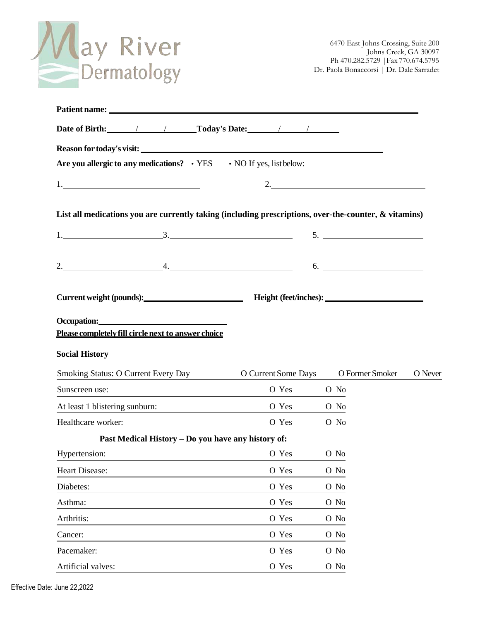

| Date of Birth: 1 1 Today's Date: 1 1                                                                                                                                                                                                                                                        |            |                                                |
|---------------------------------------------------------------------------------------------------------------------------------------------------------------------------------------------------------------------------------------------------------------------------------------------|------------|------------------------------------------------|
|                                                                                                                                                                                                                                                                                             |            |                                                |
| Are you allergic to any medications? • YES • NO If yes, list below:                                                                                                                                                                                                                         |            |                                                |
|                                                                                                                                                                                                                                                                                             |            | $2.$                                           |
| List all medications you are currently taking (including prescriptions, over-the-counter, & vitamins)                                                                                                                                                                                       |            |                                                |
| $1.$ 5.                                                                                                                                                                                                                                                                                     |            |                                                |
|                                                                                                                                                                                                                                                                                             |            |                                                |
| $2.$ 6.                                                                                                                                                                                                                                                                                     |            |                                                |
| Current weight (pounds):<br>Fleight (feet/inches):                                                                                                                                                                                                                                          |            |                                                |
| Occupation: <u>contract and contract and contract and contract and contract and contract and contract and contract and contract and contract and contract and contract and contract and contract and contract and contract and c</u><br>Please completely fill circle next to answer choice |            |                                                |
| <b>Social History</b>                                                                                                                                                                                                                                                                       |            |                                                |
| Smoking Status: O Current Every Day                                                                                                                                                                                                                                                         |            | O Current Some Days O Former Smoker<br>O Never |
| Sunscreen use:                                                                                                                                                                                                                                                                              | O Yes O No |                                                |
| At least 1 blistering sunburn:                                                                                                                                                                                                                                                              | O Yes O No |                                                |
| Healthcare worker:                                                                                                                                                                                                                                                                          | O Yes      | O No                                           |
| Past Medical History - Do you have any history of:                                                                                                                                                                                                                                          |            |                                                |
| Hypertension: 0 Yes 0 No                                                                                                                                                                                                                                                                    |            |                                                |
| Heart Disease:                                                                                                                                                                                                                                                                              | O Yes      | O No                                           |
| Diabetes:                                                                                                                                                                                                                                                                                   | O Yes      | O No                                           |
| Asthma:                                                                                                                                                                                                                                                                                     | O Yes      | O No                                           |
| Arthritis:                                                                                                                                                                                                                                                                                  | O Yes      | O No                                           |
| Cancer:                                                                                                                                                                                                                                                                                     | O Yes      | O No                                           |
| Pacemaker:                                                                                                                                                                                                                                                                                  | O Yes      | O No                                           |
| Artificial valves:                                                                                                                                                                                                                                                                          | O Yes      | O No                                           |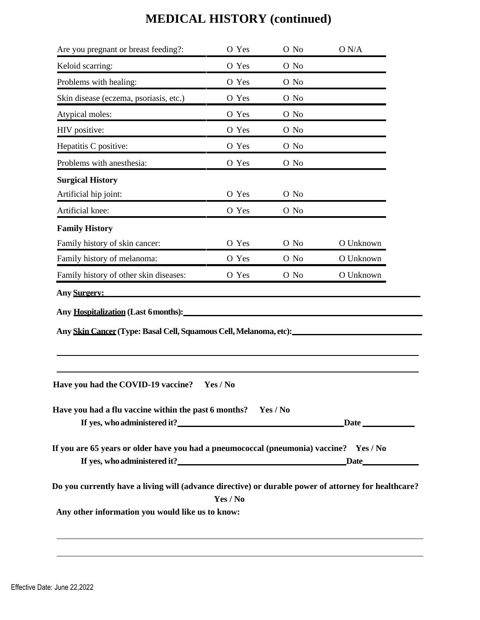|                                                                                                                                                                                                                                                                                                                                                                                                                                                       | O Yes    | O No | O N/A     |
|-------------------------------------------------------------------------------------------------------------------------------------------------------------------------------------------------------------------------------------------------------------------------------------------------------------------------------------------------------------------------------------------------------------------------------------------------------|----------|------|-----------|
| Keloid scarring:                                                                                                                                                                                                                                                                                                                                                                                                                                      | O Yes    | O No |           |
| Problems with healing:                                                                                                                                                                                                                                                                                                                                                                                                                                | O Yes    | O No |           |
| Skin disease (eczema, psoriasis, etc.)                                                                                                                                                                                                                                                                                                                                                                                                                | O Yes    | O No |           |
| Atypical moles:                                                                                                                                                                                                                                                                                                                                                                                                                                       | O Yes    | O No |           |
| HIV positive:                                                                                                                                                                                                                                                                                                                                                                                                                                         | O Yes    | O No |           |
| Hepatitis C positive:                                                                                                                                                                                                                                                                                                                                                                                                                                 | O Yes    | O No |           |
| Problems with anesthesia:                                                                                                                                                                                                                                                                                                                                                                                                                             | O Yes    | O No |           |
| <b>Surgical History</b>                                                                                                                                                                                                                                                                                                                                                                                                                               |          |      |           |
| Artificial hip joint:                                                                                                                                                                                                                                                                                                                                                                                                                                 | O Yes    | O No |           |
| Artificial knee:                                                                                                                                                                                                                                                                                                                                                                                                                                      | O Yes    | O No |           |
| <b>Family History</b>                                                                                                                                                                                                                                                                                                                                                                                                                                 |          |      |           |
| Family history of skin cancer:                                                                                                                                                                                                                                                                                                                                                                                                                        | O Yes    | O No | O Unknown |
| Family history of melanoma:                                                                                                                                                                                                                                                                                                                                                                                                                           | O Yes    | O No | O Unknown |
| Family history of other skin diseases:                                                                                                                                                                                                                                                                                                                                                                                                                | O Yes    | O No | O Unknown |
|                                                                                                                                                                                                                                                                                                                                                                                                                                                       |          |      |           |
|                                                                                                                                                                                                                                                                                                                                                                                                                                                       |          |      |           |
| Any Hospitalization (Last 6 months):                                                                                                                                                                                                                                                                                                                                                                                                                  | Yes / No |      |           |
|                                                                                                                                                                                                                                                                                                                                                                                                                                                       |          |      |           |
|                                                                                                                                                                                                                                                                                                                                                                                                                                                       |          |      |           |
|                                                                                                                                                                                                                                                                                                                                                                                                                                                       |          |      |           |
|                                                                                                                                                                                                                                                                                                                                                                                                                                                       | Yes / No |      |           |
| <b>Any Surgery:</b><br>Any Skin Cancer (Type: Basal Cell, Squamous Cell, Melanoma, etc):<br>Have you had the COVID-19 vaccine?<br>Have you had a flu vaccine within the past 6 months? Yes / No<br>If you are 65 years or older have you had a pneumococcal (pneumonia) vaccine? Yes / No<br>Do you currently have a living will (advance directive) or durable power of attorney for healthcare?<br>Any other information you would like us to know: |          |      |           |

 $\overline{\phantom{0}}$ 

# **MEDICAL HISTORY (continued)**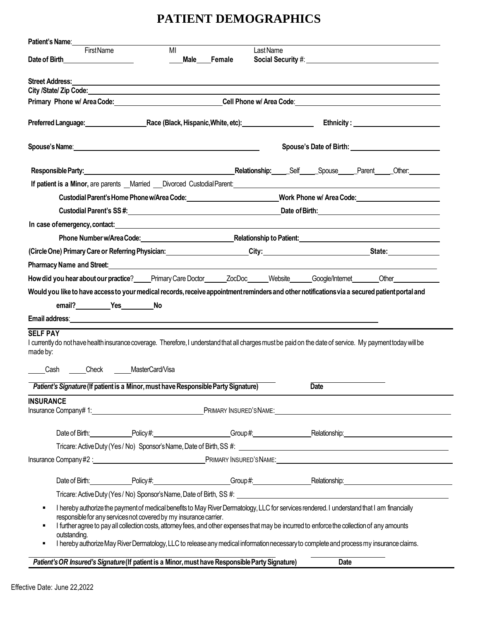### **PATIENT DEMOGRAPHICS**

| Male<br>Female                                                                                  |                                                                                                       |                                                                                                                                                                                                                                                                                                                                                                                                                                                               |                                                                                                                                                                                                                                                                                                                                                                                                                                                                                                                                                                                                                                                                                                                                                                                                                                                                                                                                                                                                                                                                                                                                                                                                                                                                                                                                                                                                                                                                                                                                                                                                                                                                                                                                                                                                                                                                                                                                                                                                                                                                                                                                                            |
|-------------------------------------------------------------------------------------------------|-------------------------------------------------------------------------------------------------------|---------------------------------------------------------------------------------------------------------------------------------------------------------------------------------------------------------------------------------------------------------------------------------------------------------------------------------------------------------------------------------------------------------------------------------------------------------------|------------------------------------------------------------------------------------------------------------------------------------------------------------------------------------------------------------------------------------------------------------------------------------------------------------------------------------------------------------------------------------------------------------------------------------------------------------------------------------------------------------------------------------------------------------------------------------------------------------------------------------------------------------------------------------------------------------------------------------------------------------------------------------------------------------------------------------------------------------------------------------------------------------------------------------------------------------------------------------------------------------------------------------------------------------------------------------------------------------------------------------------------------------------------------------------------------------------------------------------------------------------------------------------------------------------------------------------------------------------------------------------------------------------------------------------------------------------------------------------------------------------------------------------------------------------------------------------------------------------------------------------------------------------------------------------------------------------------------------------------------------------------------------------------------------------------------------------------------------------------------------------------------------------------------------------------------------------------------------------------------------------------------------------------------------------------------------------------------------------------------------------------------------|
|                                                                                                 |                                                                                                       |                                                                                                                                                                                                                                                                                                                                                                                                                                                               |                                                                                                                                                                                                                                                                                                                                                                                                                                                                                                                                                                                                                                                                                                                                                                                                                                                                                                                                                                                                                                                                                                                                                                                                                                                                                                                                                                                                                                                                                                                                                                                                                                                                                                                                                                                                                                                                                                                                                                                                                                                                                                                                                            |
|                                                                                                 |                                                                                                       |                                                                                                                                                                                                                                                                                                                                                                                                                                                               |                                                                                                                                                                                                                                                                                                                                                                                                                                                                                                                                                                                                                                                                                                                                                                                                                                                                                                                                                                                                                                                                                                                                                                                                                                                                                                                                                                                                                                                                                                                                                                                                                                                                                                                                                                                                                                                                                                                                                                                                                                                                                                                                                            |
|                                                                                                 |                                                                                                       |                                                                                                                                                                                                                                                                                                                                                                                                                                                               |                                                                                                                                                                                                                                                                                                                                                                                                                                                                                                                                                                                                                                                                                                                                                                                                                                                                                                                                                                                                                                                                                                                                                                                                                                                                                                                                                                                                                                                                                                                                                                                                                                                                                                                                                                                                                                                                                                                                                                                                                                                                                                                                                            |
|                                                                                                 |                                                                                                       |                                                                                                                                                                                                                                                                                                                                                                                                                                                               |                                                                                                                                                                                                                                                                                                                                                                                                                                                                                                                                                                                                                                                                                                                                                                                                                                                                                                                                                                                                                                                                                                                                                                                                                                                                                                                                                                                                                                                                                                                                                                                                                                                                                                                                                                                                                                                                                                                                                                                                                                                                                                                                                            |
|                                                                                                 |                                                                                                       |                                                                                                                                                                                                                                                                                                                                                                                                                                                               | Ethnicity: <u>________________________</u>                                                                                                                                                                                                                                                                                                                                                                                                                                                                                                                                                                                                                                                                                                                                                                                                                                                                                                                                                                                                                                                                                                                                                                                                                                                                                                                                                                                                                                                                                                                                                                                                                                                                                                                                                                                                                                                                                                                                                                                                                                                                                                                 |
|                                                                                                 |                                                                                                       |                                                                                                                                                                                                                                                                                                                                                                                                                                                               |                                                                                                                                                                                                                                                                                                                                                                                                                                                                                                                                                                                                                                                                                                                                                                                                                                                                                                                                                                                                                                                                                                                                                                                                                                                                                                                                                                                                                                                                                                                                                                                                                                                                                                                                                                                                                                                                                                                                                                                                                                                                                                                                                            |
|                                                                                                 |                                                                                                       |                                                                                                                                                                                                                                                                                                                                                                                                                                                               |                                                                                                                                                                                                                                                                                                                                                                                                                                                                                                                                                                                                                                                                                                                                                                                                                                                                                                                                                                                                                                                                                                                                                                                                                                                                                                                                                                                                                                                                                                                                                                                                                                                                                                                                                                                                                                                                                                                                                                                                                                                                                                                                                            |
|                                                                                                 |                                                                                                       |                                                                                                                                                                                                                                                                                                                                                                                                                                                               |                                                                                                                                                                                                                                                                                                                                                                                                                                                                                                                                                                                                                                                                                                                                                                                                                                                                                                                                                                                                                                                                                                                                                                                                                                                                                                                                                                                                                                                                                                                                                                                                                                                                                                                                                                                                                                                                                                                                                                                                                                                                                                                                                            |
|                                                                                                 |                                                                                                       |                                                                                                                                                                                                                                                                                                                                                                                                                                                               |                                                                                                                                                                                                                                                                                                                                                                                                                                                                                                                                                                                                                                                                                                                                                                                                                                                                                                                                                                                                                                                                                                                                                                                                                                                                                                                                                                                                                                                                                                                                                                                                                                                                                                                                                                                                                                                                                                                                                                                                                                                                                                                                                            |
|                                                                                                 |                                                                                                       |                                                                                                                                                                                                                                                                                                                                                                                                                                                               |                                                                                                                                                                                                                                                                                                                                                                                                                                                                                                                                                                                                                                                                                                                                                                                                                                                                                                                                                                                                                                                                                                                                                                                                                                                                                                                                                                                                                                                                                                                                                                                                                                                                                                                                                                                                                                                                                                                                                                                                                                                                                                                                                            |
|                                                                                                 |                                                                                                       |                                                                                                                                                                                                                                                                                                                                                                                                                                                               |                                                                                                                                                                                                                                                                                                                                                                                                                                                                                                                                                                                                                                                                                                                                                                                                                                                                                                                                                                                                                                                                                                                                                                                                                                                                                                                                                                                                                                                                                                                                                                                                                                                                                                                                                                                                                                                                                                                                                                                                                                                                                                                                                            |
|                                                                                                 |                                                                                                       |                                                                                                                                                                                                                                                                                                                                                                                                                                                               |                                                                                                                                                                                                                                                                                                                                                                                                                                                                                                                                                                                                                                                                                                                                                                                                                                                                                                                                                                                                                                                                                                                                                                                                                                                                                                                                                                                                                                                                                                                                                                                                                                                                                                                                                                                                                                                                                                                                                                                                                                                                                                                                                            |
|                                                                                                 |                                                                                                       |                                                                                                                                                                                                                                                                                                                                                                                                                                                               |                                                                                                                                                                                                                                                                                                                                                                                                                                                                                                                                                                                                                                                                                                                                                                                                                                                                                                                                                                                                                                                                                                                                                                                                                                                                                                                                                                                                                                                                                                                                                                                                                                                                                                                                                                                                                                                                                                                                                                                                                                                                                                                                                            |
|                                                                                                 |                                                                                                       |                                                                                                                                                                                                                                                                                                                                                                                                                                                               |                                                                                                                                                                                                                                                                                                                                                                                                                                                                                                                                                                                                                                                                                                                                                                                                                                                                                                                                                                                                                                                                                                                                                                                                                                                                                                                                                                                                                                                                                                                                                                                                                                                                                                                                                                                                                                                                                                                                                                                                                                                                                                                                                            |
|                                                                                                 |                                                                                                       |                                                                                                                                                                                                                                                                                                                                                                                                                                                               |                                                                                                                                                                                                                                                                                                                                                                                                                                                                                                                                                                                                                                                                                                                                                                                                                                                                                                                                                                                                                                                                                                                                                                                                                                                                                                                                                                                                                                                                                                                                                                                                                                                                                                                                                                                                                                                                                                                                                                                                                                                                                                                                                            |
|                                                                                                 |                                                                                                       |                                                                                                                                                                                                                                                                                                                                                                                                                                                               |                                                                                                                                                                                                                                                                                                                                                                                                                                                                                                                                                                                                                                                                                                                                                                                                                                                                                                                                                                                                                                                                                                                                                                                                                                                                                                                                                                                                                                                                                                                                                                                                                                                                                                                                                                                                                                                                                                                                                                                                                                                                                                                                                            |
|                                                                                                 |                                                                                                       |                                                                                                                                                                                                                                                                                                                                                                                                                                                               |                                                                                                                                                                                                                                                                                                                                                                                                                                                                                                                                                                                                                                                                                                                                                                                                                                                                                                                                                                                                                                                                                                                                                                                                                                                                                                                                                                                                                                                                                                                                                                                                                                                                                                                                                                                                                                                                                                                                                                                                                                                                                                                                                            |
|                                                                                                 |                                                                                                       |                                                                                                                                                                                                                                                                                                                                                                                                                                                               |                                                                                                                                                                                                                                                                                                                                                                                                                                                                                                                                                                                                                                                                                                                                                                                                                                                                                                                                                                                                                                                                                                                                                                                                                                                                                                                                                                                                                                                                                                                                                                                                                                                                                                                                                                                                                                                                                                                                                                                                                                                                                                                                                            |
|                                                                                                 |                                                                                                       |                                                                                                                                                                                                                                                                                                                                                                                                                                                               |                                                                                                                                                                                                                                                                                                                                                                                                                                                                                                                                                                                                                                                                                                                                                                                                                                                                                                                                                                                                                                                                                                                                                                                                                                                                                                                                                                                                                                                                                                                                                                                                                                                                                                                                                                                                                                                                                                                                                                                                                                                                                                                                                            |
|                                                                                                 |                                                                                                       |                                                                                                                                                                                                                                                                                                                                                                                                                                                               |                                                                                                                                                                                                                                                                                                                                                                                                                                                                                                                                                                                                                                                                                                                                                                                                                                                                                                                                                                                                                                                                                                                                                                                                                                                                                                                                                                                                                                                                                                                                                                                                                                                                                                                                                                                                                                                                                                                                                                                                                                                                                                                                                            |
|                                                                                                 |                                                                                                       |                                                                                                                                                                                                                                                                                                                                                                                                                                                               |                                                                                                                                                                                                                                                                                                                                                                                                                                                                                                                                                                                                                                                                                                                                                                                                                                                                                                                                                                                                                                                                                                                                                                                                                                                                                                                                                                                                                                                                                                                                                                                                                                                                                                                                                                                                                                                                                                                                                                                                                                                                                                                                                            |
|                                                                                                 |                                                                                                       | <b>Date</b>                                                                                                                                                                                                                                                                                                                                                                                                                                                   |                                                                                                                                                                                                                                                                                                                                                                                                                                                                                                                                                                                                                                                                                                                                                                                                                                                                                                                                                                                                                                                                                                                                                                                                                                                                                                                                                                                                                                                                                                                                                                                                                                                                                                                                                                                                                                                                                                                                                                                                                                                                                                                                                            |
|                                                                                                 |                                                                                                       |                                                                                                                                                                                                                                                                                                                                                                                                                                                               |                                                                                                                                                                                                                                                                                                                                                                                                                                                                                                                                                                                                                                                                                                                                                                                                                                                                                                                                                                                                                                                                                                                                                                                                                                                                                                                                                                                                                                                                                                                                                                                                                                                                                                                                                                                                                                                                                                                                                                                                                                                                                                                                                            |
|                                                                                                 |                                                                                                       |                                                                                                                                                                                                                                                                                                                                                                                                                                                               |                                                                                                                                                                                                                                                                                                                                                                                                                                                                                                                                                                                                                                                                                                                                                                                                                                                                                                                                                                                                                                                                                                                                                                                                                                                                                                                                                                                                                                                                                                                                                                                                                                                                                                                                                                                                                                                                                                                                                                                                                                                                                                                                                            |
|                                                                                                 |                                                                                                       |                                                                                                                                                                                                                                                                                                                                                                                                                                                               |                                                                                                                                                                                                                                                                                                                                                                                                                                                                                                                                                                                                                                                                                                                                                                                                                                                                                                                                                                                                                                                                                                                                                                                                                                                                                                                                                                                                                                                                                                                                                                                                                                                                                                                                                                                                                                                                                                                                                                                                                                                                                                                                                            |
|                                                                                                 |                                                                                                       |                                                                                                                                                                                                                                                                                                                                                                                                                                                               |                                                                                                                                                                                                                                                                                                                                                                                                                                                                                                                                                                                                                                                                                                                                                                                                                                                                                                                                                                                                                                                                                                                                                                                                                                                                                                                                                                                                                                                                                                                                                                                                                                                                                                                                                                                                                                                                                                                                                                                                                                                                                                                                                            |
|                                                                                                 |                                                                                                       |                                                                                                                                                                                                                                                                                                                                                                                                                                                               |                                                                                                                                                                                                                                                                                                                                                                                                                                                                                                                                                                                                                                                                                                                                                                                                                                                                                                                                                                                                                                                                                                                                                                                                                                                                                                                                                                                                                                                                                                                                                                                                                                                                                                                                                                                                                                                                                                                                                                                                                                                                                                                                                            |
|                                                                                                 |                                                                                                       |                                                                                                                                                                                                                                                                                                                                                                                                                                                               |                                                                                                                                                                                                                                                                                                                                                                                                                                                                                                                                                                                                                                                                                                                                                                                                                                                                                                                                                                                                                                                                                                                                                                                                                                                                                                                                                                                                                                                                                                                                                                                                                                                                                                                                                                                                                                                                                                                                                                                                                                                                                                                                                            |
|                                                                                                 |                                                                                                       |                                                                                                                                                                                                                                                                                                                                                                                                                                                               |                                                                                                                                                                                                                                                                                                                                                                                                                                                                                                                                                                                                                                                                                                                                                                                                                                                                                                                                                                                                                                                                                                                                                                                                                                                                                                                                                                                                                                                                                                                                                                                                                                                                                                                                                                                                                                                                                                                                                                                                                                                                                                                                                            |
|                                                                                                 |                                                                                                       |                                                                                                                                                                                                                                                                                                                                                                                                                                                               |                                                                                                                                                                                                                                                                                                                                                                                                                                                                                                                                                                                                                                                                                                                                                                                                                                                                                                                                                                                                                                                                                                                                                                                                                                                                                                                                                                                                                                                                                                                                                                                                                                                                                                                                                                                                                                                                                                                                                                                                                                                                                                                                                            |
|                                                                                                 |                                                                                                       |                                                                                                                                                                                                                                                                                                                                                                                                                                                               |                                                                                                                                                                                                                                                                                                                                                                                                                                                                                                                                                                                                                                                                                                                                                                                                                                                                                                                                                                                                                                                                                                                                                                                                                                                                                                                                                                                                                                                                                                                                                                                                                                                                                                                                                                                                                                                                                                                                                                                                                                                                                                                                                            |
| Patient's OR Insured's Signature (If patient is a Minor, must have Responsible Party Signature) |                                                                                                       | <b>Date</b>                                                                                                                                                                                                                                                                                                                                                                                                                                                   |                                                                                                                                                                                                                                                                                                                                                                                                                                                                                                                                                                                                                                                                                                                                                                                                                                                                                                                                                                                                                                                                                                                                                                                                                                                                                                                                                                                                                                                                                                                                                                                                                                                                                                                                                                                                                                                                                                                                                                                                                                                                                                                                                            |
|                                                                                                 | MI<br>Cash Check MasterCard/Visa<br>responsible for any services not covered by my insurance carrier. | Last Name<br>Spouse's Name: <u>Andrea Communication and the second contract of the second contract of the second contract of</u><br><b>Pharmacy Name and Street:</b> The Street of the Street of the Street of the Street of the Street of the Street of the Street of the Street of the Street of the Street of the Street of the Street of the Street of the Street o<br>Patient's Signature (If patient is a Minor, must have Responsible Party Signature) | Social Security #: University Assembly and Assembly Assembly Assembly Assembly<br>,我们也不会有什么。""我们的人,我们也不会有什么?""我们的人,我们也不会有什么?""我们的人,我们也不会有什么?""我们的人,我们也不会有什么?""我们的人<br>Primary Phone w/ Area Code: Notice and Society Area Code: Note and Society Area Code: Note and Society Area Code: No<br><b>If patient is a Minor, are parents</b> Married CDivorced Custodial Parent:<br>Custodial Parent's Home Phone w/Area Code: Work Phone w/ Area Code: North Phone w/ Area Code:<br>In case of emergency, contact: interest and contact and contact and contact and contact and contact and contact<br>Phone Number w/Area Code: National Area Code: National Area Code: National Area Code: National Area Code: National Area Code: National Area Code: National Area Code: National Area Code: National Area Code: National Area Co<br>(Circle One) Primary Care or Referring Physician: Circle 2013 City: City: State: State: Circle One)<br>How did you hear about our practice?_____Primary Care Doctor_______ZocDoc______Website______Google/Internet_______Other_______________<br>Would you like to have access to your medical records, receive appointment reminders and other notifications via a secured patient portal and<br>I currently do not have health insurance coverage. Therefore, I understand that all charges must be paid on the date of service. My payment today will be<br>Insurance Company# 1: Network and Security Area Company PRIMARY INSURED'S NAME:<br>Date of Birth: Policy #: Policy #: Group #: Group #: Relationship: Relationship:<br>Insurance Company#2 : 1990 1990 1991 PRIMARY INSURED'S NAME:<br>Date of Birth: Policy # Policy # Policy # Croup # Croup # Pelationship:<br>I hereby authorize the payment of medical benefits to May River Dermatology, LLC for services rendered. I understand that I am financially<br>I further agree to pay all collection costs, attomey fees, and other expenses that may be incurred to enforce the collection of any amounts<br>I hereby authorize May River Dermatology, LLC to release any medical information necessary to complete and process my insurance claims. |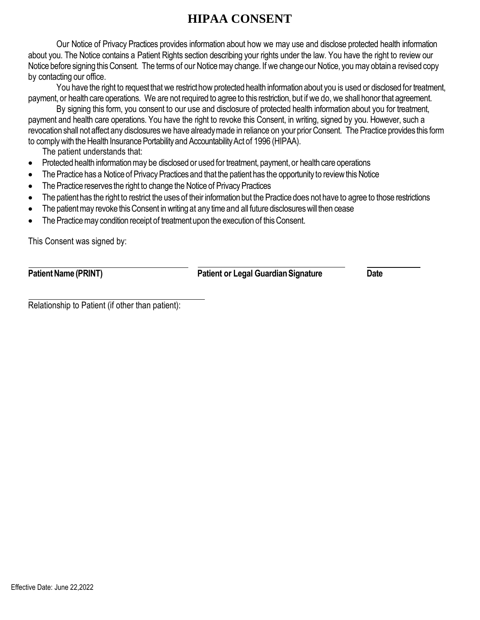### **HIPAA CONSENT**

Our Notice of Privacy Practices provides information about how we may use and disclose protected health information about you. The Notice contains a Patient Rights section describing your rights under the law. You have the right to review our Notice before signing this Consent. The terms of our Notice may change. If we change our Notice, you may obtain a revised copy by contacting our office.

You have the right to request that we restrict how protected health information about you is used or disclosed for treatment, payment, or health care operations. We are not required to agree to this restriction, but if we do, we shall honor that agreement.

By signing this form, you consent to our use and disclosure of protected health information about you for treatment, payment and health care operations. You have the right to revoke this Consent, in writing, signed by you. However, such a revocation shall not affect any disclosures we have already made in reliance on your prior Consent. The Practice provides this form to comply with the Health Insurance Portability and Accountability Act of 1996 (HIPAA).

The patient understands that:

- Protected health information may be disclosed or used for treatment, payment, or health care operations
- The Practice has a Notice of Privacy Practices and that the patient has the opportunity to review this Notice
- The Practice reserves the right to change the Notice of Privacy Practices
- The patient has the right to restrict the uses of their information but the Practice does not have to agree to those restrictions
- The patient may revoke this Consent in writing at any time and all future disclosures will then cease
- The Practice may condition receipt of treatment upon the execution of this Consent.

This Consent was signed by:

**Patient Name (PRINT) Patient or Legal Guardian Signature Date** 

Relationship to Patient (if other than patient):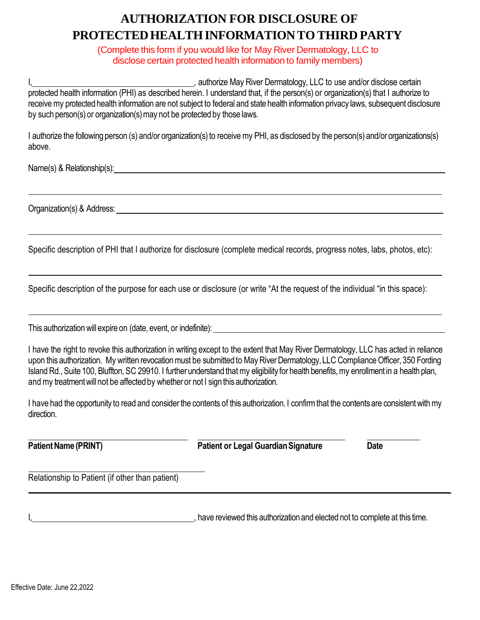## **AUTHORIZATION FOR DISCLOSURE OF PROTECTEDHEALTHINFORMATIONTO THIRD PARTY**

(Complete this form if you would like for May River Dermatology, LLC to disclose certain protected health information to family members)

, authorize May River Dermatology, LLC to use and/or disclose certain protected health information (PHI) as described herein. I understand that, if the person(s) or organization(s) that I authorize to receive my protected health information are not subject to federal and state health information privacy laws, subsequent disclosure by such person(s) or organization(s) may not be protected by those laws.

I authorize the following person (s) and/or organization(s) to receive my PHI, as disclosed by the person(s) and/or organizations(s) above.

Name(s) & Relationship(s):  $\blacksquare$ 

Organization(s) & Address:

Specific description of PHI that I authorize for disclosure (complete medical records, progress notes, labs, photos, etc):

Specific description of the purpose for each use or disclosure (or write "At the request of the individual "in this space):

This authorization will expire on (date, event, or indefinite):

I have the right to revoke this authorization in writing except to the extent that May River Dermatology, LLC has acted in reliance upon this authorization. My written revocation must be submitted to May River Dermatology, LLC Compliance Officer, 350 Fording Island Rd., Suite 100, Bluffton, SC 29910. I further understand that my eligibility for health benefits, my enrollment in a health plan, and my treatment will not be affected by whether or not I sign this authorization.

I have had the opportunity to read and consider the contents of this authorization. I confirm that the contents are consistent with my direction.

**Patient Name (PRINT) Patient or Legal Guardian Signature Date** 

Relationship to Patient (if other than patient)

I, have reviewed this authorization and elected not to complete at this time.